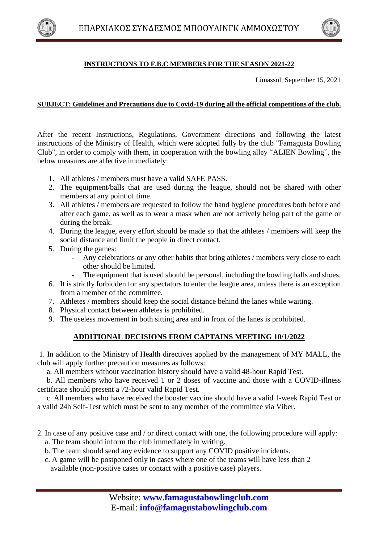



## **INSTRUCTIONS TO F.B.C MEMBERS FOR THE SEASON 2021-22**

Limassol, September 15, 2021

## **SUBJECT: Guidelines and Precautions due to Covid-19 during all the official competitions of the club.**

After the recent Instructions, Regulations, Government directions and following the latest instructions of the Ministry of Health, which were adopted fully by the club "Famagusta Bowling Club", in order to comply with them, in cooperation with the bowling alley "ALIEN Bowling", the below measures are affective immediately:

- 1. All athletes / members must have a valid SAFE PASS.
- 2. The equipment/balls that are used during the league, should not be shared with other members at any point of time.
- 3. All athletes / members are requested to follow the hand hygiene procedures both before and after each game, as well as to wear a mask when are not actively being part of the game or during the break.
- 4. During the league, every effort should be made so that the athletes / members will keep the social distance and limit the people in direct contact.
- 5. During the games:
	- Any celebrations or any other habits that bring athletes / members very close to each other should be limited.
	- The equipment that is used should be personal, including the bowling balls and shoes.
- 6. It is strictly forbidden for any spectators to enter the league area, unless there is an exception from a member of the committee.
- 7. Athletes / members should keep the social distance behind the lanes while waiting.
- 8. Physical contact between athletes is prohibited.
- 9. The useless movement in both sitting area and in front of the lanes is prohibited.

## **ADDITIONAL DECISIONS FROM CAPTAINS MEETING 10/1/2022**

1. In addition to the Ministry of Health directives applied by the management of MY MALL, the club will apply further precaution measures as follows:

a. All members without vaccination history should have a valid 48-hour Rapid Test.

 b. All members who have received 1 or 2 doses of vaccine and those with a COVID-illness certificate should present a 72-hour valid Rapid Test.

 c. All members who have received the booster vaccine should have a valid 1-week Rapid Test or a valid 24h Self-Test which must be sent to any member of the committee via Viber.

- 2. In case of any positive case and / or direct contact with one, the following procedure will apply:
	- a. The team should inform the club immediately in writing.
	- b. The team should send any evidence to support any COVID positive incidents.
	- c. A game will be postponed only in cases where one of the teams will have less than 2 available (non-positive cases or contact with a positive case) players.